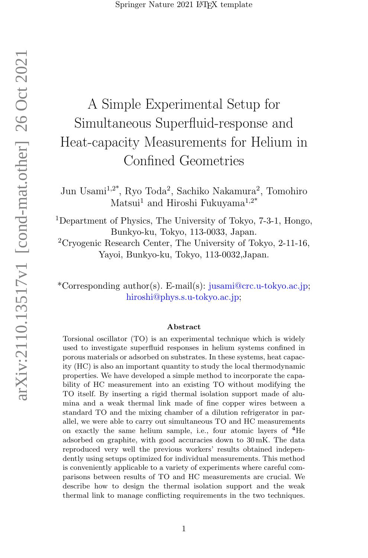# A Simple Experimental Setup for Simultaneous Superfluid-response and Heat-capacity Measurements for Helium in Confined Geometries

Jun Usami<sup>1,2\*</sup>, Ryo Toda<sup>2</sup>, Sachiko Nakamura<sup>2</sup>, Tomohiro Matsui<sup>1</sup> and Hiroshi Fukuyama<sup>1,2\*</sup>

<sup>1</sup>Department of Physics, The University of Tokyo, 7-3-1, Hongo, Bunkyo-ku, Tokyo, 113-0033, Japan.

 ${}^{2}$ Cryogenic Research Center, The University of Tokyo, 2-11-16, Yayoi, Bunkyo-ku, Tokyo, 113-0032,Japan.

\*Corresponding author(s). E-mail(s): jusami@crc.u-tokyo.ac.jp; hiroshi@phys.s.u-tokyo.ac.jp;

#### Abstract

Torsional oscillator (TO) is an experimental technique which is widely used to investigate superfluid responses in helium systems confined in porous materials or adsorbed on substrates. In these systems, heat capacity (HC) is also an important quantity to study the local thermodynamic properties. We have developed a simple method to incorporate the capability of HC measurement into an existing TO without modifying the TO itself. By inserting a rigid thermal isolation support made of alumina and a weak thermal link made of fine copper wires between a standard TO and the mixing chamber of a dilution refrigerator in parallel, we were able to carry out simultaneous TO and HC measurements on exactly the same helium sample, i.e., four atomic layers of  $4$ He adsorbed on graphite, with good accuracies down to 30 mK. The data reproduced very well the previous workers' results obtained independently using setups optimized for individual measurements. This method is conveniently applicable to a variety of experiments where careful comparisons between results of TO and HC measurements are crucial. We describe how to design the thermal isolation support and the weak thermal link to manage conflicting requirements in the two techniques.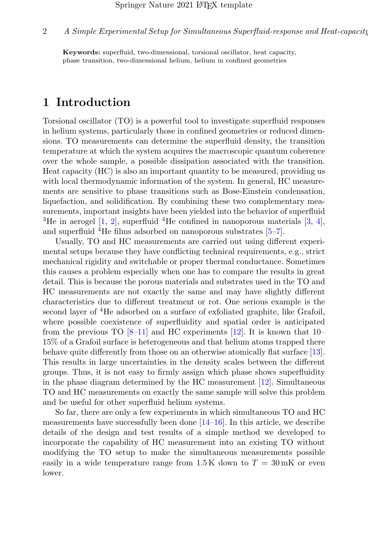Keywords: superfluid, two-dimensional, torsional oscillator, heat capacity, phase transition, two-dimensional helium, helium in confined geometries

# 1 Introduction

Torsional oscillator (TO) is a powerful tool to investigate superfluid responses in helium systems, particularly those in confined geometries or reduced dimensions. TO measurements can determine the superfluid density, the transition temperature at which the system acquires the macroscopic quantum coherence over the whole sample, a possible dissipation associated with the transition. Heat capacity (HC) is also an important quantity to be measured, providing us with local thermodynamic information of the system. In general, HC measurements are sensitive to phase transitions such as Bose-Einstein condensation, liquefaction, and solidification. By combining these two complementary measurements, important insights have been yielded into the behavior of superfluid <sup>3</sup>He in aerogel  $[1, 2]$  $[1, 2]$  $[1, 2]$ , superfluid <sup>4</sup>He confined in nanoporous materials  $[3, 4]$  $[3, 4]$  $[3, 4]$ , and superfluid  ${}^{4}$ He films adsorbed on nanoporous substrates [\[5–](#page-8-4)[7\]](#page-8-5).

Usually, TO and HC measurements are carried out using different experimental setups because they have conflicting technical requirements, e.g., strict mechanical rigidity and switchable or proper thermal conductance. Sometimes this causes a problem especially when one has to compare the results in great detail. This is because the porous materials and substrates used in the TO and HC measurements are not exactly the same and may have slightly different characteristics due to different treatment or rot. One serious example is the second layer of <sup>4</sup>He adsorbed on a surface of exfoliated graphite, like Grafoil, where possible coexistence of superfluidity and spatial order is anticipated from the previous TO  $[8-11]$  $[8-11]$  and HC experiments  $[12]$ . It is known that 10– 15% of a Grafoil surface is heterogeneous and that helium atoms trapped there behave quite differently from those on an otherwise atomically flat surface [\[13\]](#page-9-2). This results in large uncertainties in the density scales between the different groups. Thus, it is not easy to firmly assign which phase shows superfluidity in the phase diagram determined by the HC measurement [\[12\]](#page-9-1). Simultaneous TO and HC measurements on exactly the same sample will solve this problem and be useful for other superfluid helium systems.

So far, there are only a few experiments in which simultaneous TO and HC measurements have successfully been done [\[14–](#page-9-3)[16\]](#page-9-4). In this article, we describe details of the design and test results of a simple method we developed to incorporate the capability of HC measurement into an existing TO without modifying the TO setup to make the simultaneous measurements possible easily in a wide temperature range from  $1.5 \text{ K}$  down to  $T = 30 \text{ mK}$  or even lower.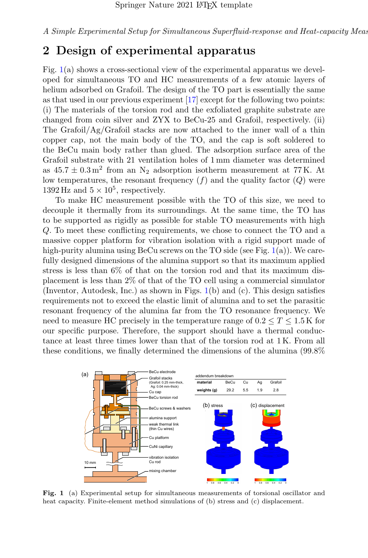## 2 Design of experimental apparatus

Fig.  $1(a)$  $1(a)$  shows a cross-sectional view of the experimental apparatus we developed for simultaneous TO and HC measurements of a few atomic layers of helium adsorbed on Grafoil. The design of the TO part is essentially the same as that used in our previous experiment [\[17\]](#page-9-5) except for the following two points: (i) The materials of the torsion rod and the exfoliated graphite substrate are changed from coin silver and ZYX to BeCu-25 and Grafoil, respectively. (ii) The Grafoil/Ag/Grafoil stacks are now attached to the inner wall of a thin copper cap, not the main body of the TO, and the cap is soft soldered to the BeCu main body rather than glued. The adsorption surface area of the Grafoil substrate with 21 ventilation holes of 1 mm diameter was determined as  $45.7 \pm 0.3 \,\mathrm{m}^2$  from an N<sub>2</sub> adsorption isotherm measurement at 77 K. At low temperatures, the resonant frequency  $(f)$  and the quality factor  $(Q)$  were 1392 Hz and  $5 \times 10^5$ , respectively.

To make HC measurement possible with the TO of this size, we need to decouple it thermally from its surroundings. At the same time, the TO has to be supported as rigidly as possible for stable TO measurements with high Q. To meet these conflicting requirements, we chose to connect the TO and a massive copper platform for vibration isolation with a rigid support made of high-purity alumina using BeCu screws on the TO side (see Fig.  $1(a)$  $1(a)$ ). We carefully designed dimensions of the alumina support so that its maximum applied stress is less than 6% of that on the torsion rod and that its maximum displacement is less than 2% of that of the TO cell using a commercial simulator (Inventor, Autodesk, Inc.) as shown in Figs. [1\(](#page-2-0)b) and (c). This design satisfies requirements not to exceed the elastic limit of alumina and to set the parasitic resonant frequency of the alumina far from the TO resonance frequency. We need to measure HC precisely in the temperature range of  $0.2 \le T \le 1.5$  K for our specific purpose. Therefore, the support should have a thermal conductance at least three times lower than that of the torsion rod at 1 K. From all these conditions, we finally determined the dimensions of the alumina (99.8%



<span id="page-2-0"></span>Fig. 1 (a) Experimental setup for simultaneous measurements of torsional oscillator and heat capacity. Finite-element method simulations of (b) stress and (c) displacement.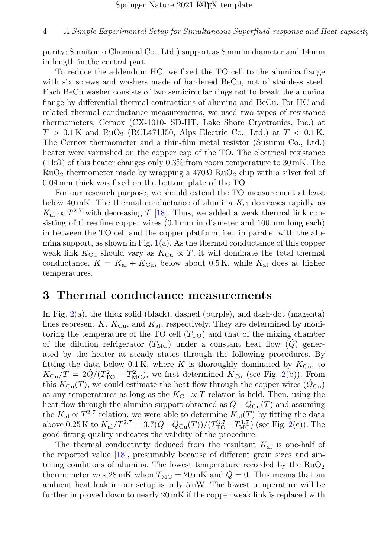#### 4 A Simple Experimental Setup for Simultaneous Superfluid-response and Heat-capacity

purity; Sumitomo Chemical Co., Ltd.) support as 8 mm in diameter and 14 mm in length in the central part.

To reduce the addendum HC, we fixed the TO cell to the alumina flange with six screws and washers made of hardened BeCu, not of stainless steel. Each BeCu washer consists of two semicircular rings not to break the alumina flange by differential thermal contractions of alumina and BeCu. For HC and related thermal conductance measurements, we used two types of resistance thermometers, Cernox (CX-1010- SD-HT, Lake Shore Cryotronics, Inc.) at  $T > 0.1$ K and RuO<sub>2</sub> (RCL471J50, Alps Electric Co., Ltd.) at  $T < 0.1$ K. The Cernox thermometer and a thin-film metal resistor (Susumu Co., Ltd.) heater were varnished on the copper cap of the TO. The electrical resistance  $(1 \text{ k}\Omega)$  of this heater changes only 0.3% from room temperature to 30 mK. The  $RuO<sub>2</sub>$  thermometer made by wrapping a 470  $\Omega$  RuO<sub>2</sub> chip with a silver foil of 0.04 mm thick was fixed on the bottom plate of the TO.

For our research purpose, we should extend the TO measurement at least below 40 mK. The thermal conductance of alumina  $K_{\rm al}$  decreases rapidly as  $K_{\rm al} \propto T^{2.7}$  with decreasing T [\[18\]](#page-9-6). Thus, we added a weak thermal link consisting of three fine copper wires (0.1 mm in diameter and 100 mm long each) in between the TO cell and the copper platform, i.e., in parallel with the alumina support, as shown in Fig.  $1(a)$  $1(a)$ . As the thermal conductance of this copper weak link  $K_{\text{Cu}}$  should vary as  $K_{\text{Cu}} \propto T$ , it will dominate the total thermal conductance,  $K = K_{\text{al}} + K_{\text{Cu}}$ , below about 0.5 K, while  $K_{\text{al}}$  does at higher temperatures.

### 3 Thermal conductance measurements

In Fig. [2\(](#page-4-0)a), the thick solid (black), dashed (purple), and dash-dot (magenta) lines represent  $K$ ,  $K_{\text{Cu}}$ , and  $K_{\text{al}}$ , respectively. They are determined by monitoring the temperature of the TO cell  $(T_{\text{TO}})$  and that of the mixing chamber of the dilution refrigerator  $(T_{MC})$  under a constant heat flow  $(Q)$  generated by the heater at steady states through the following procedures. By fitting the data below 0.1 K, where K is thoroughly dominated by  $K_{\text{Cu}}$ , to  $K_{\text{Cu}}/T = 2\dot{Q}/(T_{\text{TO}}^2 - T_{\text{MC}}^2)$ , we first determined  $K_{\text{Cu}}$  (see Fig. [2\(](#page-4-0)b)). From this  $K_{\text{Cu}}(T)$ , we could estimate the heat flow through the copper wires  $(Q_{\text{Cu}})$ at any temperatures as long as the  $K_{\text{Cu}} \propto T$  relation is held. Then, using the heat flow through the alumina support obtained as  $Q - Q_{Cu}(T)$  and assuming the  $K_{\rm al} \propto T^{2.7}$  relation, we were able to determine  $K_{\rm al}(T)$  by fitting the data above 0.25 K to  $K_{\rm al}/T^{2.7} = 3.7(\dot{Q} - \dot{Q}_{\rm Cu}(T))/(T_{\rm TO}^{3.7} - T_{\rm MC}^{3.7})$  (see Fig. [2\(](#page-4-0)c)). The good fitting quality indicates the validity of the procedure.

The thermal conductivity deduced from the resultant  $K_{al}$  is one-half of the reported value [\[18\]](#page-9-6), presumably because of different grain sizes and sintering conditions of alumina. The lowest temperature recorded by the  $RuO<sub>2</sub>$ thermometer was 28 mK when  $T_{MC} = 20$  mK and  $Q = 0$ . This means that an ambient heat leak in our setup is only 5 nW. The lowest temperature will be further improved down to nearly 20 mK if the copper weak link is replaced with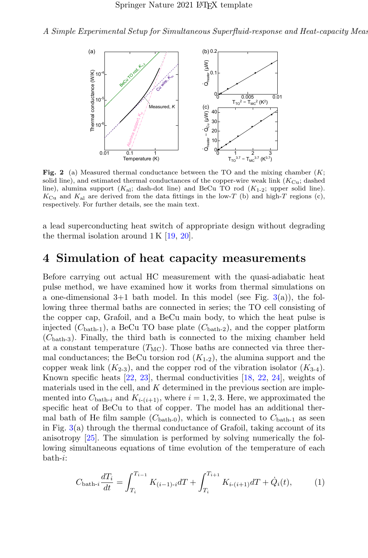

<span id="page-4-0"></span>Fig. 2 (a) Measured thermal conductance between the TO and the mixing chamber  $(K;$ solid line), and estimated thermal conductances of the copper-wire weak link  $(K_{\text{Cu}};$  dashed line), alumina support  $(K_{\text{al}}; \text{ dash-dot line})$  and BeCu TO rod  $(K_{1-2}; \text{ upper solid line}).$  $K_{\text{Cu}}$  and  $K_{\text{al}}$  are derived from the data fittings in the low-T (b) and high-T regions (c), respectively. For further details, see the main text.

a lead superconducting heat switch of appropriate design without degrading the thermal isolation around  $1 \text{K}$  [\[19,](#page-9-7) [20\]](#page-10-0).

## 4 Simulation of heat capacity measurements

Before carrying out actual HC measurement with the quasi-adiabatic heat pulse method, we have examined how it works from thermal simulations on a one-dimensional  $3+1$  bath model. In this model (see Fig.  $3(a)$  $3(a)$ ), the following three thermal baths are connected in series; the TO cell consisting of the copper cap, Grafoil, and a BeCu main body, to which the heat pulse is injected  $(C_{\text{bath-1}})$ , a BeCu TO base plate  $(C_{\text{bath-2}})$ , and the copper platform  $(C_{\text{bath-3}})$ . Finally, the third bath is connected to the mixing chamber held at a constant temperature  $(T_{MC})$ . Those baths are connected via three thermal conductances; the BeCu torsion rod  $(K_{1-2})$ , the alumina support and the copper weak link  $(K_{2-3})$ , and the copper rod of the vibration isolator  $(K_{3-4})$ . Known specific heats  $[22, 23]$  $[22, 23]$  $[22, 23]$ , thermal conductivities  $[18, 22, 24]$  $[18, 22, 24]$  $[18, 22, 24]$  $[18, 22, 24]$  $[18, 22, 24]$ , weights of materials used in the cell, and  $K$  determined in the previous section are implemented into  $C_{\text{bath-}i}$  and  $K_{i-(i+1)}$ , where  $i = 1, 2, 3$ . Here, we approximated the specific heat of BeCu to that of copper. The model has an additional thermal bath of He film sample  $(C_{\text{bath-0}})$ , which is connected to  $C_{\text{bath-1}}$  as seen in Fig.  $3(a)$  $3(a)$  through the thermal conductance of Grafoil, taking account of its anisotropy [\[25\]](#page-10-4). The simulation is performed by solving numerically the following simultaneous equations of time evolution of the temperature of each bath-i:

$$
C_{\text{bath-}i} \frac{dT_i}{dt} = \int_{T_i}^{T_{i-1}} K_{(i-1)\cdot i} dT + \int_{T_i}^{T_{i+1}} K_{i\cdot (i+1)} dT + \dot{Q}_i(t), \tag{1}
$$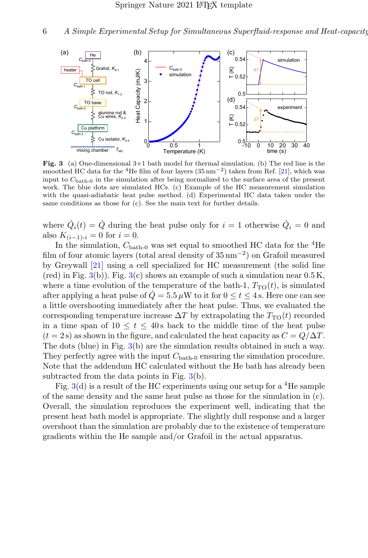6 A Simple Experimental Setup for Simultaneous Superfluid-response and Heat-capacity



<span id="page-5-0"></span>**Fig. 3** (a) One-dimensional  $3+1$  bath model for thermal simulation. (b) The red line is the smoothed HC data for the <sup>4</sup>He film of four layers (35 nm<sup>-2</sup>) taken from Ref. [\[21\]](#page-10-5), which was input to  $C_{\text{bath-0}}$  in the simulation after being normalized to the surface area of the present work. The blue dots are simulated HCs. (c) Example of the HC measurement simulation with the quasi-adiabatic heat pulse method. (d) Experimental HC data taken under the same conditions as those for (c). See the main text for further details.

where  $\dot{Q}_i(t) = \dot{Q}$  during the heat pulse only for  $i = 1$  otherwise  $\dot{Q}_i = 0$  and also  $K_{(i-1)-i} = 0$  for  $i = 0$ .

In the simulation,  $C_{\text{bath-0}}$  was set equal to smoothed HC data for the <sup>4</sup>He film of four atomic layers (total areal density of 35 nm<sup>−</sup><sup>2</sup> ) on Grafoil measured by Greywall [\[21\]](#page-10-5) using a cell specialized for HC measurement (the solid line  $(\text{red})$  in Fig. [3\(](#page-5-0)b)). Fig. 3(c) shows an example of such a simulation near 0.5 K, where a time evolution of the temperature of the bath-1,  $T_{\text{TO}}(t)$ , is simulated after applying a heat pulse of  $\dot{Q} = 5.5 \,\mu$ W to it for  $0 \le t \le 4$  s. Here one can see a little overshooting immediately after the heat pulse. Thus, we evaluated the corresponding temperature increase  $\Delta T$  by extrapolating the  $T_{\text{TO}}(t)$  recorded in a time span of  $10 \le t \le 40$  s back to the middle time of the heat pulse  $(t = 2 s)$  as shown in the figure, and calculated the heat capacity as  $C = Q/\Delta T$ . The dots (blue) in Fig. [3\(](#page-5-0)b) are the simulation results obtained in such a way. They perfectly agree with the input  $C_{\text{bath-0}}$  ensuring the simulation procedure. Note that the addendum HC calculated without the He bath has already been subtracted from the data points in Fig. [3\(](#page-5-0)b).

Fig.  $3(d)$  $3(d)$  is a result of the HC experiments using our setup for a <sup>4</sup>He sample of the same density and the same heat pulse as those for the simulation in (c). Overall, the simulation reproduces the experiment well, indicating that the present heat bath model is appropriate. The slightly dull response and a larger overshoot than the simulation are probably due to the existence of temperature gradients within the He sample and/or Grafoil in the actual apparatus.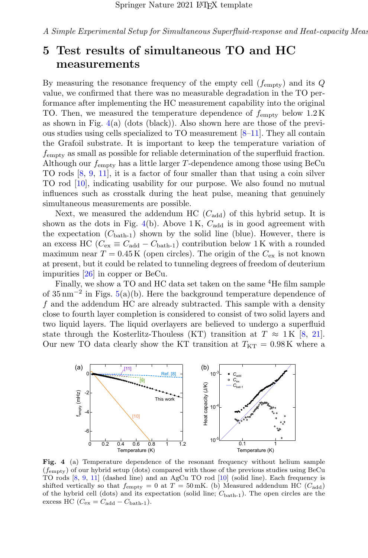# 5 Test results of simultaneous TO and HC measurements

By measuring the resonance frequency of the empty cell  $(f_{\text{emntv}})$  and its Q value, we confirmed that there was no measurable degradation in the TO performance after implementing the HC measurement capability into the original TO. Then, we measured the temperature dependence of  $f_{\text{emnty}}$  below  $1.2 \text{ K}$ as shown in Fig.  $4(a)$  $4(a)$  (dots (black)). Also shown here are those of the previous studies using cells specialized to TO measurement [\[8–](#page-8-6)[11\]](#page-9-0). They all contain the Grafoil substrate. It is important to keep the temperature variation of  $f_{\rm empty}$  as small as possible for reliable determination of the superfluid fraction. Although our  $f_{\text{empty}}$  has a little larger T-dependence among those using BeCu TO rods [\[8,](#page-8-6) [9,](#page-9-8) [11\]](#page-9-0), it is a factor of four smaller than that using a coin silver TO rod [\[10\]](#page-9-9), indicating usability for our purpose. We also found no mutual influences such as crosstalk during the heat pulse, meaning that genuinely simultaneous measurements are possible.

Next, we measured the addendum HC  $(C_{\text{add}})$  of this hybrid setup. It is shown as the dots in Fig. [4\(](#page-6-0)b). Above 1K,  $C_{\text{add}}$  is in good agreement with the expectation  $(C_{\text{bath-1}})$  shown by the solid line (blue). However, there is an excess HC ( $C_{\text{ex}} \equiv C_{\text{add}} - C_{\text{bath-1}}$ ) contribution below 1 K with a rounded maximum near  $T = 0.45$  K (open circles). The origin of the  $C_{\text{ex}}$  is not known at present, but it could be related to tunneling degrees of freedom of deuterium impurities [\[26\]](#page-10-6) in copper or BeCu.

Finally, we show a TO and HC data set taken on the same <sup>4</sup>He film sample of  $35 \,\mathrm{nm}^{-2}$  in Figs.  $5(a)(b)$  $5(a)(b)$ . Here the background temperature dependence of  $f$  and the addendum HC are already subtracted. This sample with a density close to fourth layer completion is considered to consist of two solid layers and two liquid layers. The liquid overlayers are believed to undergo a superfluid state through the Kosterlitz-Thouless (KT) transition at  $T \approx 1$  K [\[8,](#page-8-6) [21\]](#page-10-5). Our new TO data clearly show the KT transition at  $T_{\text{KT}} = 0.98 \text{ K}$  where a



<span id="page-6-0"></span>Fig. 4 (a) Temperature dependence of the resonant frequency without helium sample  $(f_{\text{empty}})$  of our hybrid setup (dots) compared with those of the previous studies using BeCu TO rods [\[8,](#page-8-6) [9,](#page-9-8) [11\]](#page-9-0) (dashed line) and an AgCu TO rod [\[10\]](#page-9-9) (solid line). Each frequency is shifted vertically so that  $f_{\text{empty}} = 0$  at  $T = 50 \text{ mK}$ . (b) Measured addendum HC ( $C_{\text{add}}$ ) of the hybrid cell (dots) and its expectation (solid line;  $C_{\text{bath-1}}$ ). The open circles are the excess HC ( $C_{\text{ex}} = C_{\text{add}} - C_{\text{bath-1}}$ ).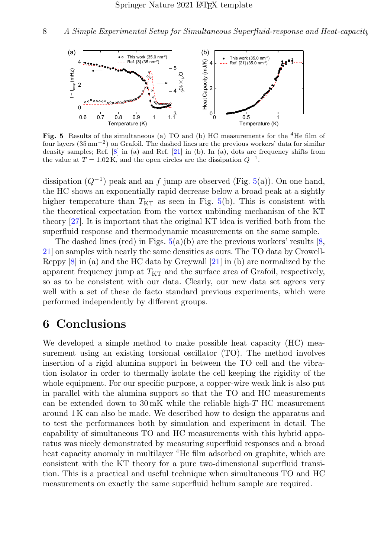

<span id="page-7-0"></span>**Fig. 5** Results of the simultaneous (a) TO and (b) HC measurements for the  ${}^{4}$ He film of four layers (35 nm−<sup>2</sup> ) on Grafoil. The dashed lines are the previous workers' data for similar density samples; Ref. [\[8\]](#page-8-6) in (a) and Ref. [\[21\]](#page-10-5) in (b). In (a), dots are frequency shifts from the value at  $T = 1.02 \text{ K}$ , and the open circles are the dissipation  $Q^{-1}$ .

dissipation  $(Q^{-1})$  peak and an f jump are observed (Fig. [5\(](#page-7-0)a)). On one hand, the HC shows an exponentially rapid decrease below a broad peak at a sightly higher temperature than  $T_{KT}$  as seen in Fig. [5\(](#page-7-0)b). This is consistent with the theoretical expectation from the vortex unbinding mechanism of the KT theory [\[27\]](#page-10-7). It is important that the original KT idea is verified both from the superfluid response and thermodynamic measurements on the same sample.

The dashed lines (red) in Figs.  $5(a)(b)$  $5(a)(b)$  are the previous workers' results [\[8,](#page-8-6) [21\]](#page-10-5) on samples with nearly the same densities as ours. The TO data by Crowell-Reppy [\[8\]](#page-8-6) in (a) and the HC data by Greywall [\[21\]](#page-10-5) in (b) are normalized by the apparent frequency jump at  $T_{\text{KT}}$  and the surface area of Grafoil, respectively, so as to be consistent with our data. Clearly, our new data set agrees very well with a set of these de facto standard previous experiments, which were performed independently by different groups.

# 6 Conclusions

We developed a simple method to make possible heat capacity (HC) measurement using an existing torsional oscillator (TO). The method involves insertion of a rigid alumina support in between the TO cell and the vibration isolator in order to thermally isolate the cell keeping the rigidity of the whole equipment. For our specific purpose, a copper-wire weak link is also put in parallel with the alumina support so that the TO and HC measurements can be extended down to 30 mK while the reliable high-T HC measurement around 1 K can also be made. We described how to design the apparatus and to test the performances both by simulation and experiment in detail. The capability of simultaneous TO and HC measurements with this hybrid apparatus was nicely demonstrated by measuring superfluid responses and a broad heat capacity anomaly in multilayer <sup>4</sup>He film adsorbed on graphite, which are consistent with the KT theory for a pure two-dimensional superfluid transition. This is a practical and useful technique when simultaneous TO and HC measurements on exactly the same superfluid helium sample are required.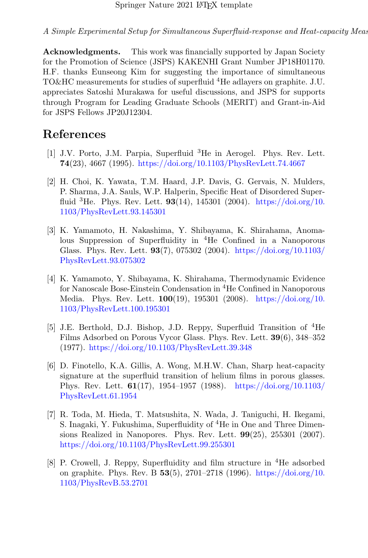Acknowledgments. This work was financially supported by Japan Society for the Promotion of Science (JSPS) KAKENHI Grant Number JP18H01170. H.F. thanks Eunseong Kim for suggesting the importance of simultaneous TO&HC measurements for studies of superfluid <sup>4</sup>He adlayers on graphite. J.U. appreciates Satoshi Murakawa for useful discussions, and JSPS for supports through Program for Leading Graduate Schools (MERIT) and Grant-in-Aid for JSPS Fellows JP20J12304.

# References

- <span id="page-8-0"></span>[1] J.V. Porto, J.M. Parpia, Superfluid <sup>3</sup>He in Aerogel. Phys. Rev. Lett. 74(23), 4667 (1995). <https://doi.org/10.1103/PhysRevLett.74.4667>
- <span id="page-8-1"></span>[2] H. Choi, K. Yawata, T.M. Haard, J.P. Davis, G. Gervais, N. Mulders, P. Sharma, J.A. Sauls, W.P. Halperin, Specific Heat of Disordered Superfluid <sup>3</sup>He. Phys. Rev. Lett.  $93(14)$ , 145301 (2004). [https://doi.org/10.](https://doi.org/10.1103/PhysRevLett.93.145301) [1103/PhysRevLett.93.145301](https://doi.org/10.1103/PhysRevLett.93.145301)
- <span id="page-8-2"></span>[3] K. Yamamoto, H. Nakashima, Y. Shibayama, K. Shirahama, Anomalous Suppression of Superfluidity in <sup>4</sup>He Confined in a Nanoporous Glass. Phys. Rev. Lett. 93(7), 075302 (2004). [https://doi.org/10.1103/](https://doi.org/10.1103/PhysRevLett.93.075302) [PhysRevLett.93.075302](https://doi.org/10.1103/PhysRevLett.93.075302)
- <span id="page-8-3"></span>[4] K. Yamamoto, Y. Shibayama, K. Shirahama, Thermodynamic Evidence for Nanoscale Bose-Einstein Condensation in <sup>4</sup>He Confined in Nanoporous Media. Phys. Rev. Lett. **100**(19), 195301 (2008). [https://doi.org/10.](https://doi.org/10.1103/PhysRevLett.100.195301) [1103/PhysRevLett.100.195301](https://doi.org/10.1103/PhysRevLett.100.195301)
- <span id="page-8-4"></span>[5] J.E. Berthold, D.J. Bishop, J.D. Reppy, Superfluid Transition of <sup>4</sup>He Films Adsorbed on Porous Vycor Glass. Phys. Rev. Lett. 39(6), 348–352 (1977). <https://doi.org/10.1103/PhysRevLett.39.348>
- [6] D. Finotello, K.A. Gillis, A. Wong, M.H.W. Chan, Sharp heat-capacity signature at the superfluid transition of helium films in porous glasses. Phys. Rev. Lett. 61(17), 1954–1957 (1988). [https://doi.org/10.1103/](https://doi.org/10.1103/PhysRevLett.61.1954) [PhysRevLett.61.1954](https://doi.org/10.1103/PhysRevLett.61.1954)
- <span id="page-8-5"></span>[7] R. Toda, M. Hieda, T. Matsushita, N. Wada, J. Taniguchi, H. Ikegami, S. Inagaki, Y. Fukushima, Superfluidity of <sup>4</sup>He in One and Three Dimensions Realized in Nanopores. Phys. Rev. Lett.  $99(25)$ ,  $255301$  (2007). <https://doi.org/10.1103/PhysRevLett.99.255301>
- <span id="page-8-6"></span>[8] P. Crowell, J. Reppy, Superfluidity and film structure in <sup>4</sup>He adsorbed on graphite. Phys. Rev. B  $53(5)$ , 2701–2718 (1996). [https://doi.org/10.](https://doi.org/10.1103/PhysRevB.53.2701) [1103/PhysRevB.53.2701](https://doi.org/10.1103/PhysRevB.53.2701)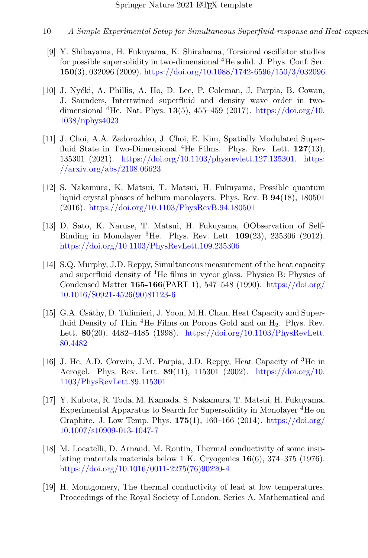- 10 A Simple Experimental Setup for Simultaneous Superfluid-response and Heat-capacity
- <span id="page-9-8"></span>[9] Y. Shibayama, H. Fukuyama, K. Shirahama, Torsional oscillator studies for possible supersolidity in two-dimensional <sup>4</sup>He solid. J. Phys. Conf. Ser. 150(3), 032096 (2009). <https://doi.org/10.1088/1742-6596/150/3/032096>
- <span id="page-9-9"></span>[10] J. Nyéki, A. Phillis, A. Ho, D. Lee, P. Coleman, J. Parpia, B. Cowan, J. Saunders, Intertwined superfluid and density wave order in twodimensional <sup>4</sup>He. Nat. Phys. **13**(5), 455–459 (2017). [https://doi.org/10.](https://doi.org/10.1038/nphys4023) [1038/nphys4023](https://doi.org/10.1038/nphys4023)
- <span id="page-9-0"></span>[11] J. Choi, A.A. Zadorozhko, J. Choi, E. Kim, Spatially Modulated Superfluid State in Two-Dimensional  ${}^{4}$ He Films. Phys. Rev. Lett. 127(13), 135301 (2021). [https://doi.org/10.1103/physrevlett.127.135301.](https://doi.org/10.1103/physrevlett.127.135301) [https:]({arXiv:2108.06623}) [//arxiv.org/abs/2108.06623]({arXiv:2108.06623})
- <span id="page-9-1"></span>[12] S. Nakamura, K. Matsui, T. Matsui, H. Fukuyama, Possible quantum liquid crystal phases of helium monolayers. Phys. Rev. B 94(18), 180501 (2016). <https://doi.org/10.1103/PhysRevB.94.180501>
- <span id="page-9-2"></span>[13] D. Sato, K. Naruse, T. Matsui, H. Fukuyama, OObservation of Self-Binding in Monolayer  ${}^{3}$ He. Phys. Rev. Lett. 109(23), 235306 (2012). <https://doi.org/10.1103/PhysRevLett.109.235306>
- <span id="page-9-3"></span>[14] S.Q. Murphy, J.D. Reppy, Simultaneous measurement of the heat capacity and superfluid density of  ${}^{4}$ He films in vycor glass. Physica B: Physics of Condensed Matter 165-166(PART 1), 547–548 (1990). [https://doi.org/](https://doi.org/10.1016/S0921-4526(90)81123-6) [10.1016/S0921-4526\(90\)81123-6](https://doi.org/10.1016/S0921-4526(90)81123-6)
- [15] G.A. Csáthy, D. Tulimieri, J. Yoon, M.H. Chan, Heat Capacity and Superfluid Density of Thin  ${}^{4}$ He Films on Porous Gold and on  $H_2$ . Phys. Rev. Lett. 80(20), 4482–4485 (1998). [https://doi.org/10.1103/PhysRevLett.](https://doi.org/10.1103/PhysRevLett.80.4482) [80.4482](https://doi.org/10.1103/PhysRevLett.80.4482)
- <span id="page-9-4"></span>[16] J. He, A.D. Corwin, J.M. Parpia, J.D. Reppy, Heat Capacity of <sup>3</sup>He in Aerogel. Phys. Rev. Lett. 89(11), 115301 (2002). [https://doi.org/10.](https://doi.org/10.1103/PhysRevLett.89.115301) [1103/PhysRevLett.89.115301](https://doi.org/10.1103/PhysRevLett.89.115301)
- <span id="page-9-5"></span>[17] Y. Kubota, R. Toda, M. Kamada, S. Nakamura, T. Matsui, H. Fukuyama, Experimental Apparatus to Search for Supersolidity in Monolayer <sup>4</sup>He on Graphite. J. Low Temp. Phys. 175(1), 160–166 (2014). [https://doi.org/](https://doi.org/10.1007/s10909-013-1047-7) [10.1007/s10909-013-1047-7](https://doi.org/10.1007/s10909-013-1047-7)
- <span id="page-9-6"></span>[18] M. Locatelli, D. Arnaud, M. Routin, Thermal conductivity of some insulating materials materials below 1 K. Cryogenics 16(6), 374–375 (1976). [https://doi.org/10.1016/0011-2275\(76\)90220-4](https://doi.org/10.1016/0011-2275(76)90220-4)
- <span id="page-9-7"></span>[19] H. Montgomery, The thermal conductivity of lead at low temperatures. Proceedings of the Royal Society of London. Series A. Mathematical and